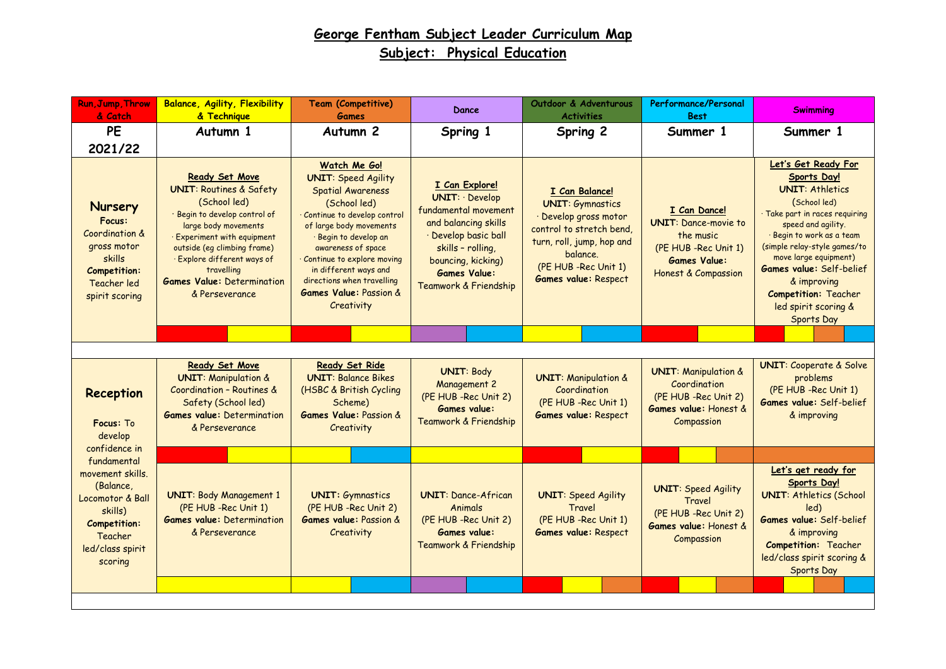| <b>Run, Jump, Throw</b><br>& Catch                                                                                                       | <b>Balance, Agility, Flexibility</b><br>& Technique                                                                                                                                                                                                                                                  | <b>Team (Competitive)</b><br>Games                                                                                                                                                                                                                                                                                                    | Dance                                                                                                                                                                                              | Outdoor & Adventurous<br><b>Activities</b>                                                                                                                                                      | Performance/Personal<br><b>Best</b>                                                                                                       | <b>Swimming</b>                                                                                                                                                                                                                                                                                                                                 |
|------------------------------------------------------------------------------------------------------------------------------------------|------------------------------------------------------------------------------------------------------------------------------------------------------------------------------------------------------------------------------------------------------------------------------------------------------|---------------------------------------------------------------------------------------------------------------------------------------------------------------------------------------------------------------------------------------------------------------------------------------------------------------------------------------|----------------------------------------------------------------------------------------------------------------------------------------------------------------------------------------------------|-------------------------------------------------------------------------------------------------------------------------------------------------------------------------------------------------|-------------------------------------------------------------------------------------------------------------------------------------------|-------------------------------------------------------------------------------------------------------------------------------------------------------------------------------------------------------------------------------------------------------------------------------------------------------------------------------------------------|
| <b>PE</b><br>2021/22                                                                                                                     | Autumn 1                                                                                                                                                                                                                                                                                             | Autumn <sub>2</sub>                                                                                                                                                                                                                                                                                                                   | Spring 1                                                                                                                                                                                           | Spring 2                                                                                                                                                                                        | Summer 1                                                                                                                                  | Summer 1                                                                                                                                                                                                                                                                                                                                        |
| <b>Nursery</b><br>Focus:<br>Coordination &<br>gross motor<br>skills<br><b>Competition:</b><br>Teacher led<br>spirit scoring              | Ready Set Move<br><b>UNIT: Routines &amp; Safety</b><br>(School led)<br>· Begin to develop control of<br>large body movements<br><b>Experiment with equipment</b><br>outside (eq climbing frame)<br>· Explore different ways of<br>travelling<br><b>Games Value: Determination</b><br>& Perseverance | Watch Me Go!<br><b>UNIT: Speed Agility</b><br><b>Spatial Awareness</b><br>(School led)<br>Continue to develop control<br>of large body movements<br>Begin to develop an<br>awareness of space<br>Continue to explore moving<br>in different ways and<br>directions when travelling<br><b>Games Value: Passion &amp;</b><br>Creativity | I Can Explore!<br>UNIT: Develop<br>fundamental movement<br>and balancing skills<br>· Develop basic ball<br>skills - rolling,<br>bouncing, kicking)<br><b>Games Value:</b><br>Teamwork & Friendship | I Can Balance!<br><b>UNIT: Gymnastics</b><br>· Develop gross motor<br>control to stretch bend,<br>turn, roll, jump, hop and<br>balance.<br>(PE HUB - Rec Unit 1)<br><b>Games value: Respect</b> | I Can Dance!<br><b>UNIT:</b> Dance-movie to<br>the music<br>(PE HUB -Rec Unit 1)<br><b>Games Value:</b><br><b>Honest &amp; Compassion</b> | Let's Get Ready For<br>Sports Day!<br><b>UNIT: Athletics</b><br>(School led)<br>Take part in races requiring<br>speed and agility.<br>· Begin to work as a team<br>(simple relay-style games/to<br>move large equipment)<br><b>Games value:</b> Self-belief<br>& improving<br><b>Competition: Teacher</b><br>led spirit scoring &<br>Sports Day |
|                                                                                                                                          |                                                                                                                                                                                                                                                                                                      |                                                                                                                                                                                                                                                                                                                                       |                                                                                                                                                                                                    |                                                                                                                                                                                                 |                                                                                                                                           |                                                                                                                                                                                                                                                                                                                                                 |
| <b>Reception</b><br>Focus: To<br>develop                                                                                                 | <b>Ready Set Move</b><br><b>UNIT: Manipulation &amp;</b><br>Coordination - Routines &<br>Safety (School led)<br><b>Games value: Determination</b><br>& Perseverance                                                                                                                                  | Ready Set Ride<br><b>UNIT: Balance Bikes</b><br>(HSBC & British Cycling<br>Scheme)<br><b>Games Value: Passion &amp;</b><br>Creativity                                                                                                                                                                                                 | <b>UNIT: Body</b><br><b>Management 2</b><br>(PE HUB - Rec Unit 2)<br><b>Games value:</b><br>Teamwork & Friendship                                                                                  | <b>UNIT: Manipulation &amp;</b><br>Coordination<br>(PE HUB - Rec Unit 1)<br><b>Games value: Respect</b>                                                                                         | <b>UNIT: Manipulation &amp;</b><br>Coordination<br>(PE HUB -Rec Unit 2)<br>Games value: Honest &<br>Compassion                            | <b>UNIT: Cooperate &amp; Solve</b><br>problems<br>(PE HUB -Rec Unit 1)<br>Games value: Self-belief<br>& improving                                                                                                                                                                                                                               |
| confidence in<br>fundamental                                                                                                             |                                                                                                                                                                                                                                                                                                      |                                                                                                                                                                                                                                                                                                                                       |                                                                                                                                                                                                    |                                                                                                                                                                                                 |                                                                                                                                           |                                                                                                                                                                                                                                                                                                                                                 |
| movement skills.<br>(Balance,<br><b>Locomotor &amp; Ball</b><br>skills)<br><b>Competition:</b><br>Teacher<br>led/class spirit<br>scoring | <b>UNIT: Body Management 1</b><br>(PE HUB -Rec Unit 1)<br><b>Games value: Determination</b><br>& Perseverance                                                                                                                                                                                        | <b>UNIT: Gymnastics</b><br>(PE HUB - Rec Unit 2)<br><b>Games value: Passion &amp;</b><br>Creativity                                                                                                                                                                                                                                   | <b>UNIT: Dance-African</b><br>Animals<br>(PE HUB - Rec Unit 2)<br><b>Games value:</b><br>Teamwork & Friendship                                                                                     | <b>UNIT: Speed Agility</b><br>Travel<br>(PE HUB -Rec Unit 1)<br><b>Games value: Respect</b>                                                                                                     | <b>UNIT: Speed Agility</b><br>Travel<br>(PE HUB - Rec Unit 2)<br>Games value: Honest &<br>Compassion                                      | Let's get ready for<br><b>Sports Day!</b><br><b>UNIT: Athletics (School</b><br>led)<br>Games value: Self-belief<br>& improving<br><b>Competition:</b> Teacher<br>led/class spirit scoring &<br>Sports Day                                                                                                                                       |
|                                                                                                                                          |                                                                                                                                                                                                                                                                                                      |                                                                                                                                                                                                                                                                                                                                       |                                                                                                                                                                                                    |                                                                                                                                                                                                 |                                                                                                                                           |                                                                                                                                                                                                                                                                                                                                                 |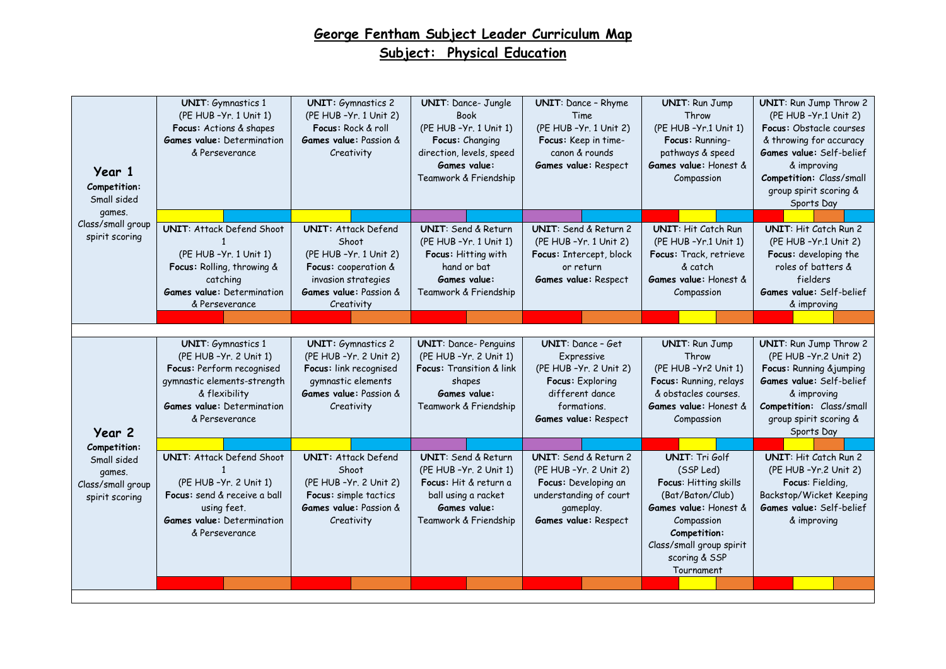| Year 1<br>Competition:<br>Small sided                        | <b>UNIT:</b> Gymnastics 1<br>(PE HUB - Yr. 1 Unit 1)<br>Focus: Actions & shapes<br><b>Games value:</b> Determination<br>& Perseverance                                                   | <b>UNIT:</b> Gymnastics 2<br>(PE HUB - Yr. 1 Unit 2)<br>Focus: Rock & roll<br><b>Games value:</b> Passion &<br>Creativity                                    | <b>UNIT:</b> Dance- Jungle<br><b>Book</b><br>(PE HUB - Yr. 1 Unit 1)<br>Focus: Changing<br>direction, levels, speed<br>Games value:<br>Teamwork & Friendship | <b>UNIT:</b> Dance - Rhyme<br>Time<br>(PE HUB - Yr. 1 Unit 2)<br>Focus: Keep in time-<br>canon & rounds<br>Games value: Respect                 | <b>UNIT: Run Jump</b><br>Throw<br>(PE HUB-Yr.1 Unit 1)<br>Focus: Running-<br>pathways & speed<br>Games value: Honest &<br>Compassion                                                              | <b>UNIT:</b> Run Jump Throw 2<br>(PE HUB - Yr.1 Unit 2)<br><b>Focus:</b> Obstacle courses<br>& throwing for accuracy<br>Games value: Self-belief<br>& improving<br>Competition: Class/small<br>group spirit scoring &<br>Sports Day |
|--------------------------------------------------------------|------------------------------------------------------------------------------------------------------------------------------------------------------------------------------------------|--------------------------------------------------------------------------------------------------------------------------------------------------------------|--------------------------------------------------------------------------------------------------------------------------------------------------------------|-------------------------------------------------------------------------------------------------------------------------------------------------|---------------------------------------------------------------------------------------------------------------------------------------------------------------------------------------------------|-------------------------------------------------------------------------------------------------------------------------------------------------------------------------------------------------------------------------------------|
| games.<br>Class/small group                                  |                                                                                                                                                                                          |                                                                                                                                                              |                                                                                                                                                              |                                                                                                                                                 |                                                                                                                                                                                                   |                                                                                                                                                                                                                                     |
| spirit scoring                                               | <b>UNIT: Attack Defend Shoot</b><br>-1<br>(PE HUB - Yr. 1 Unit 1)<br>Focus: Rolling, throwing &<br>catching<br><b>Games value:</b> Determination<br>& Perseverance                       | <b>UNIT: Attack Defend</b><br>Shoot<br>(PE HUB - Yr. 1 Unit 2)<br>Focus: cooperation &<br>invasion strategies<br><b>Games value:</b> Passion &<br>Creativity | <b>UNIT:</b> Send & Return<br>(PE HUB - Yr. 1 Unit 1)<br>Focus: Hitting with<br>hand or bat<br><b>Games value:</b><br>Teamwork & Friendship                  | UNIT: Send & Return 2<br>(PE HUB - Yr. 1 Unit 2)<br>Focus: Intercept, block<br>or return<br>Games value: Respect                                | <b>UNIT: Hit Catch Run</b><br>(PE HUB-Yr.1 Unit 1)<br>Focus: Track, retrieve<br>& catch<br>Games value: Honest &<br>Compassion                                                                    | UNIT: Hit Catch Run 2<br>(PE HUB - Yr.1 Unit 2)<br>Focus: developing the<br>roles of batters &<br>fielders<br>Games value: Self-belief<br>& improving                                                                               |
|                                                              |                                                                                                                                                                                          |                                                                                                                                                              |                                                                                                                                                              |                                                                                                                                                 |                                                                                                                                                                                                   |                                                                                                                                                                                                                                     |
| Year 2                                                       | <b>UNIT:</b> Gymnastics 1<br>(PE HUB - Yr. 2 Unit 1)<br>Focus: Perform recognised<br>gymnastic elements-strength<br>& flexibility<br><b>Games value:</b> Determination<br>& Perseverance | <b>UNIT:</b> Gymnastics 2<br>(PE HUB - Yr. 2 Unit 2)<br>Focus: link recognised<br>gymnastic elements<br>Games value: Passion &<br>Creativity                 | <b>UNIT:</b> Dance- Penguins<br>(PE HUB - Yr. 2 Unit 1)<br>Focus: Transition & link<br>shapes<br>Games value:<br>Teamwork & Friendship                       | <b>UNIT:</b> Dance - Get<br>Expressive<br>(PE HUB - Yr. 2 Unit 2)<br>Focus: Exploring<br>different dance<br>formations.<br>Games value: Respect | <b>UNIT: Run Jump</b><br>Throw<br>(PE HUB-Yr2 Unit 1)<br>Focus: Running, relays<br>& obstacles courses.<br>Games value: Honest &<br>Compassion                                                    | <b>UNIT:</b> Run Jump Throw 2<br>(PE HUB - Yr.2 Unit 2)<br>Focus: Running & jumping<br>Games value: Self-belief<br>& improving<br>Competition: Class/small<br>group spirit scoring &<br>Sports Day                                  |
| Competition:                                                 |                                                                                                                                                                                          |                                                                                                                                                              |                                                                                                                                                              |                                                                                                                                                 |                                                                                                                                                                                                   |                                                                                                                                                                                                                                     |
| Small sided<br>games.<br>Class/small group<br>spirit scoring | <b>UNIT: Attack Defend Shoot</b><br>$\mathbf{1}$<br>(PE HUB - Yr. 2 Unit 1)<br>Focus: send & receive a ball<br>using feet.<br><b>Games value:</b> Determination<br>& Perseverance        | <b>UNIT: Attack Defend</b><br>Shoot<br>(PE HUB - Yr. 2 Unit 2)<br>Focus: simple tactics<br><b>Games value:</b> Passion &<br>Creativity                       | <b>UNIT:</b> Send & Return<br>(PE HUB - Yr. 2 Unit 1)<br>Focus: Hit & return a<br>ball using a racket<br>Games value:<br>Teamwork & Friendship               | UNIT: Send & Return 2<br>(PE HUB - Yr. 2 Unit 2)<br>Focus: Developing an<br>understanding of court<br>gameplay.<br>Games value: Respect         | <b>UNIT: Tri Golf</b><br>(SSP Led)<br>Focus: Hitting skills<br>(Bat/Baton/Club)<br>Games value: Honest &<br>Compassion<br>Competition:<br>Class/small group spirit<br>scoring & SSP<br>Tournament | UNIT: Hit Catch Run 2<br>(PE HUB - Yr. 2 Unit 2)<br>Focus: Fielding,<br>Backstop/Wicket Keeping<br>Games value: Self-belief<br>& improving                                                                                          |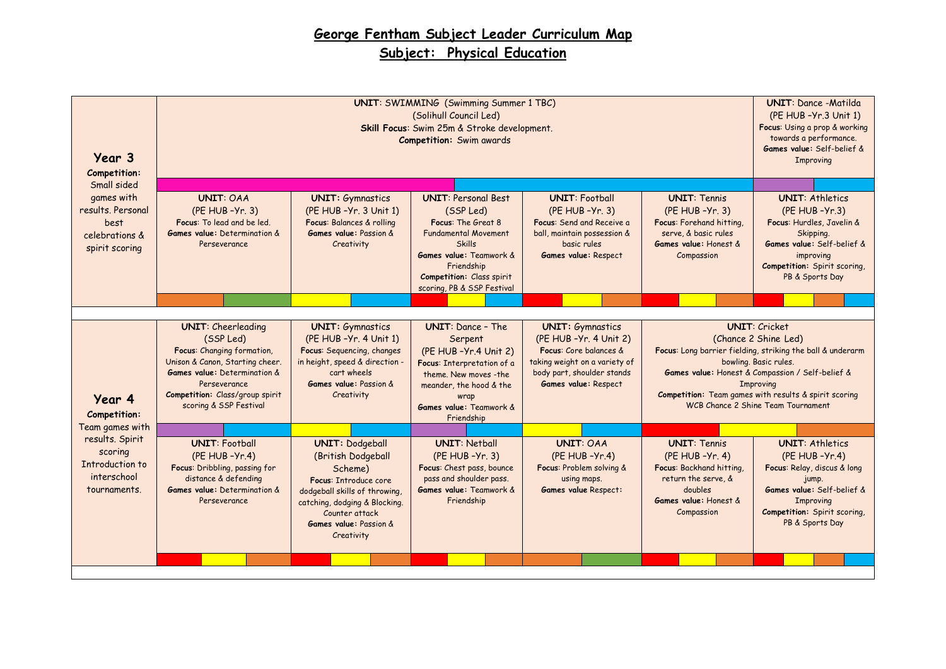| Year 3<br>Competition:                                                       |                                                                                                                                                                                                                             | <b>UNIT:</b> Dance -Matilda<br>(PE HUB - Yr. 3 Unit 1)<br>Focus: Using a prop & working<br>towards a performance.<br>Games value: Self-belief &<br>Improving                                                |                                                                                                                                                                                                  |                                                                                                                                                                            |                                                                                                                                                                                                                                                                                                            |                                                                                                                                                                                          |
|------------------------------------------------------------------------------|-----------------------------------------------------------------------------------------------------------------------------------------------------------------------------------------------------------------------------|-------------------------------------------------------------------------------------------------------------------------------------------------------------------------------------------------------------|--------------------------------------------------------------------------------------------------------------------------------------------------------------------------------------------------|----------------------------------------------------------------------------------------------------------------------------------------------------------------------------|------------------------------------------------------------------------------------------------------------------------------------------------------------------------------------------------------------------------------------------------------------------------------------------------------------|------------------------------------------------------------------------------------------------------------------------------------------------------------------------------------------|
| Small sided                                                                  |                                                                                                                                                                                                                             |                                                                                                                                                                                                             |                                                                                                                                                                                                  |                                                                                                                                                                            |                                                                                                                                                                                                                                                                                                            |                                                                                                                                                                                          |
| games with<br>results. Personal<br>best<br>celebrations &<br>spirit scoring  | <b>UNIT: OAA</b><br>$(PE HUB - Yr. 3)$<br>Focus: To lead and be led.<br><b>Games value:</b> Determination &<br>Perseverance                                                                                                 | <b>UNIT:</b> Gymnastics<br>(PE HUB - Yr. 3 Unit 1)<br>Focus: Balances & rolling<br><b>Games value:</b> Passion &<br>Creativity                                                                              | <b>UNIT: Personal Best</b><br>(SSP Led)<br>Focus: The Great 8<br><b>Fundamental Movement</b><br><b>Skills</b><br>Games value: Teamwork &<br>Friendship<br>Competition: Class spirit              | <b>UNIT: Football</b><br>(PE HUB - Yr. 3)<br>Focus: Send and Receive a<br>ball, maintain possession &<br>basic rules<br>Games value: Respect                               | <b>UNIT: Tennis</b><br>(PE HUB - Yr. 3)<br>Focus: Forehand hitting,<br>serve, & basic rules<br>Games value: Honest &<br>Compassion                                                                                                                                                                         | <b>UNIT: Athletics</b><br>$(PE HUB - Yr.3)$<br>Focus: Hurdles, Javelin &<br>Skipping.<br>Games value: Self-belief &<br>improving<br>Competition: Spirit scoring,<br>PB & Sports Day      |
|                                                                              |                                                                                                                                                                                                                             |                                                                                                                                                                                                             | scoring, PB & SSP Festival                                                                                                                                                                       |                                                                                                                                                                            |                                                                                                                                                                                                                                                                                                            |                                                                                                                                                                                          |
|                                                                              |                                                                                                                                                                                                                             |                                                                                                                                                                                                             |                                                                                                                                                                                                  |                                                                                                                                                                            |                                                                                                                                                                                                                                                                                                            |                                                                                                                                                                                          |
| Year 4<br>Competition:                                                       | <b>UNIT:</b> Cheerleading<br>(SSP Led)<br>Focus: Changing formation,<br>Unison & Canon, Starting cheer.<br><b>Games value:</b> Determination &<br>Perseverance<br>Competition: Class/group spirit<br>scoring & SSP Festival | <b>UNIT:</b> Gymnastics<br>(PE HUB - Yr. 4 Unit 1)<br>Focus: Sequencing, changes<br>in height, speed & direction -<br>cart wheels<br>Games value: Passion &<br>Creativity                                   | <b>UNIT:</b> Dance - The<br>Serpent<br>(PE HUB - Yr.4 Unit 2)<br>Focus: Interpretation of a<br>theme. New moves -the<br>meander, the hood & the<br>wrap<br>Games value: Teamwork &<br>Friendship | <b>UNIT:</b> Gymnastics<br>(PE HUB - Yr. 4 Unit 2)<br>Focus: Core balances &<br>taking weight on a variety of<br>body part, shoulder stands<br><b>Games value: Respect</b> | <b>UNIT: Cricket</b><br>(Chance 2 Shine Led)<br>Focus: Long barrier fielding, striking the ball & underarm<br>bowling. Basic rules.<br>Games value: Honest & Compassion / Self-belief &<br>Improving<br><b>Competition:</b> Team games with results & spirit scoring<br>WCB Chance 2 Shine Team Tournament |                                                                                                                                                                                          |
| Team games with                                                              |                                                                                                                                                                                                                             |                                                                                                                                                                                                             |                                                                                                                                                                                                  |                                                                                                                                                                            |                                                                                                                                                                                                                                                                                                            |                                                                                                                                                                                          |
| results. Spirit<br>scoring<br>Introduction to<br>interschool<br>tournaments. | <b>UNIT: Football</b><br>(PE HUB - Yr.4)<br>Focus: Dribbling, passing for<br>distance & defending<br>Games value: Determination &<br>Perseverance                                                                           | <b>UNIT: Dodgeball</b><br>(British Dodgeball<br>Scheme)<br>Focus: Introduce core<br>dodgeball skills of throwing<br>catching, dodging & Blocking.<br>Counter attack<br>Games value: Passion &<br>Creativity | <b>UNIT: Netball</b><br>(PE HUB - Yr. 3)<br>Focus: Chest pass, bounce<br>pass and shoulder pass.<br>Games value: Teamwork &<br>Friendship                                                        | <b>UNIT: OAA</b><br>$(PE HUB - Yr.4)$<br>Focus: Problem solving &<br>using maps.<br><b>Games value Respect:</b>                                                            | <b>UNIT: Tennis</b><br>(PE HUB - Yr. 4)<br>Focus: Backhand hitting,<br>return the serve, &<br>doubles<br>Games value: Honest &<br>Compassion                                                                                                                                                               | <b>UNIT: Athletics</b><br>$(PE HUB - Yr.4)$<br>Focus: Relay, discus & long<br>jump.<br>Games value: Self-belief &<br><b>Improving</b><br>Competition: Spirit scoring,<br>PB & Sports Day |
|                                                                              |                                                                                                                                                                                                                             |                                                                                                                                                                                                             |                                                                                                                                                                                                  |                                                                                                                                                                            |                                                                                                                                                                                                                                                                                                            |                                                                                                                                                                                          |